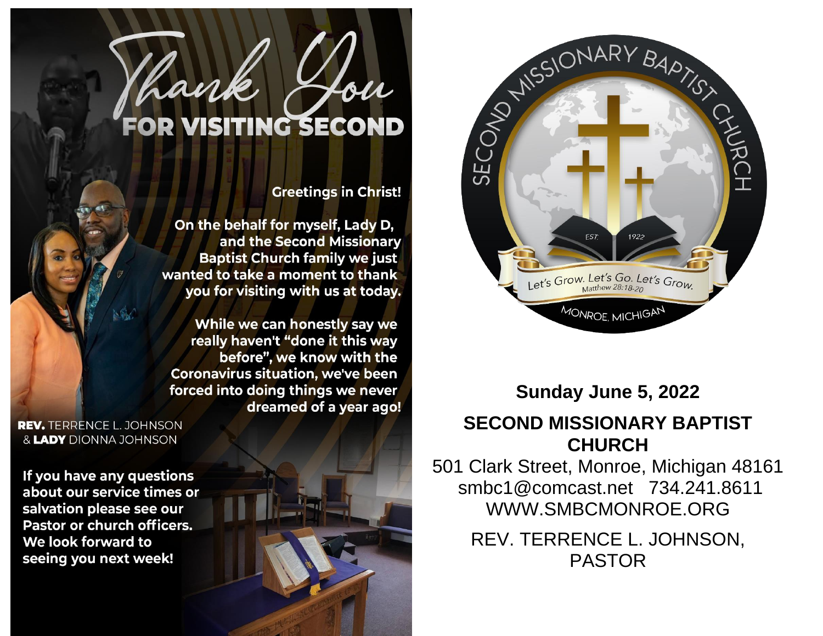

## **Sunday June 5, 2022**

#### **SECOND MISSIONARY BAPTIST CHURCH**

501 Clark Street, Monroe, Michigan 48161 smbc1@comcast.net 734.241.8611 WWW.SMBCMONROE.ORG

> REV. TERRENCE L. JOHNSON, PASTOR



#### **Greetings in Christ!**

On the behalf for myself, Lady D, and the Second Missionary **Baptist Church family we just** wanted to take a moment to thank you for visiting with us at today.

While we can honestly say we really haven't "done it this way before", we know with the **Coronavirus situation, we've been** forced into doing things we never dreamed of a year ago!

**REV.** TERRENCE L. JOHNSON & LADY DIONNA JOHNSON

If you have any questions about our service times or salvation please see our **Pastor or church officers.** We look forward to seeing you next week!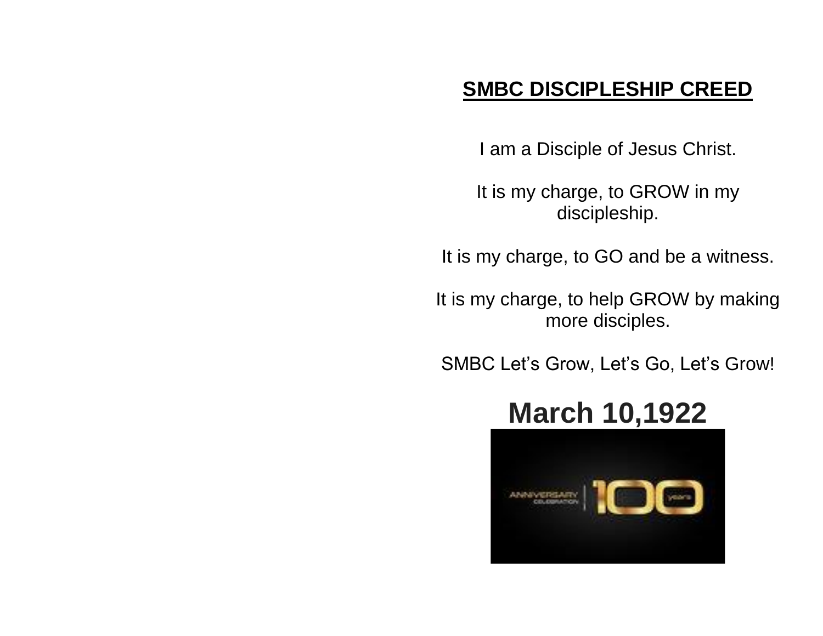# **SMBC DISCIPLESHIP CREED**

I am a Disciple of Jesus Christ.

It is my charge, to GROW in my discipleship.

It is my charge, to GO and be a witness.

It is my charge, to help GROW by making more disciples.

SMBC Let's Grow, Let's Go, Let's Grow!

# **March 10,1922**

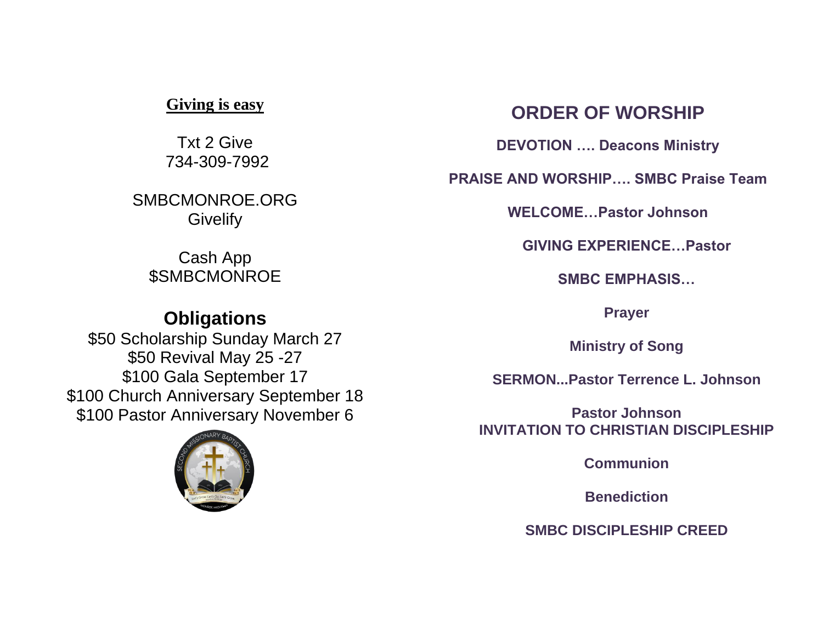#### **Giving is easy**

Txt 2 Give 734-309-7992

SMBCMONROE.ORG **Givelify** 

Cash App **\$SMBCMONROE** 

#### **Obligations**

\$50 Scholarship Sunday March 27 \$50 Revival May 25 -27 \$100 Gala September 17 \$100 Church Anniversary September 18 \$100 Pastor Anniversary November 6



### **ORDER OF WORSHIP**

**DEVOTION …. Deacons Ministry**

**PRAISE AND WORSHIP…. SMBC Praise Team**

**WELCOME…Pastor Johnson**

**GIVING EXPERIENCE…Pastor** 

**SMBC EMPHASIS…**

**Prayer**

**Ministry of Song**

**SERMON...Pastor Terrence L. Johnson**

**Pastor Johnson INVITATION TO CHRISTIAN DISCIPLESHIP**

**Communion**

**Benediction**

**SMBC DISCIPLESHIP CREED**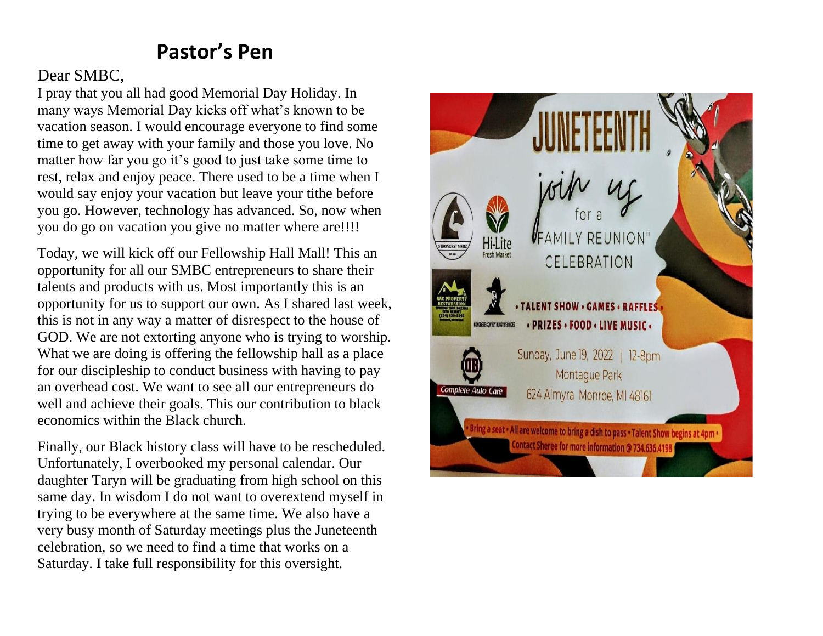## **Pastor's Pen**

#### Dear SMBC,

I pray that you all had good Memorial Day Holiday. In many ways Memorial Day kicks off what's known to be vacation season. I would encourage everyone to find some time to get away with your family and those you love. No matter how far you go it's good to just take some time to rest, relax and enjoy peace. There used to be a time when I would say enjoy your vacation but leave your tithe before you go. However, technology has advanced. So, now when you do go on vacation you give no matter where are!!!!

Today, we will kick off our Fellowship Hall Mall! This an opportunity for all our SMBC entrepreneurs to share their talents and products with us. Most importantly this is an opportunity for us to support our own. As I shared last week, this is not in any way a matter of disrespect to the house of GOD. We are not extorting anyone who is trying to worship. What we are doing is offering the fellowship hall as a place for our discipleship to conduct business with having to pay an overhead cost. We want to see all our entrepreneurs do well and achieve their goals. This our contribution to black economics within the Black church.

Finally, our Black history class will have to be rescheduled. Unfortunately, I overbooked my personal calendar. Our daughter Taryn will be graduating from high school on this same day. In wisdom I do not want to overextend myself in trying to be everywhere at the same time. We also have a very busy month of Saturday meetings plus the Juneteenth celebration, so we need to find a time that works on a Saturday. I take full responsibility for this oversight.

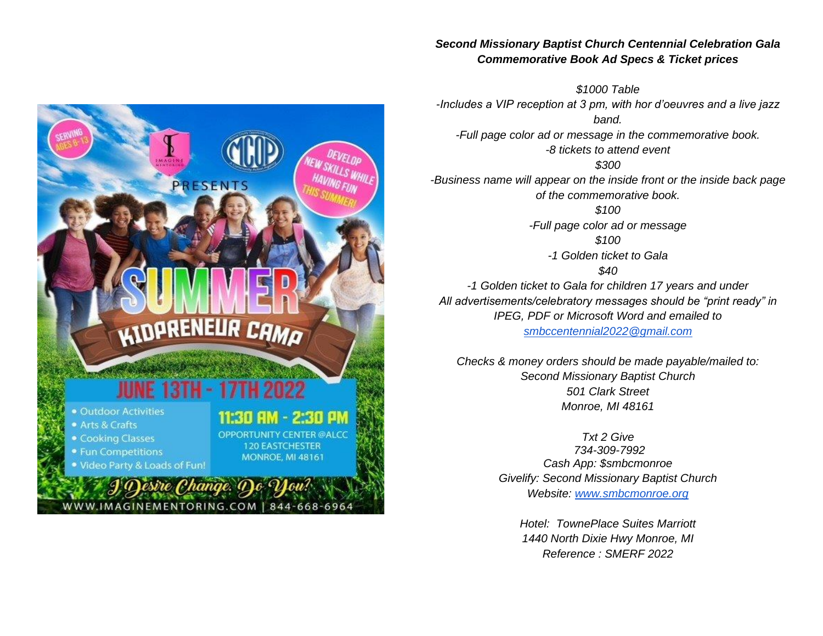#### *Second Missionary Baptist Church Centennial Celebration Gala Commemorative Book Ad Specs & Ticket prices*

*\$1000 Table -Includes a VIP reception at 3 pm, with hor d'oeuvres and a live jazz band. -Full page color ad or message in the commemorative book. -8 tickets to attend event \$300 -Business name will appear on the inside front or the inside back page of the commemorative book. \$100 -Full page color ad or message \$100 -1 Golden ticket to Gala \$40 -1 Golden ticket to Gala for children 17 years and under All advertisements/celebratory messages should be "print ready" in IPEG, PDF or Microsoft Word and emailed to [smbccentennial2022@gmail.com](mailto:smbccentennial2022@gmail.com)*

DEVELOP

**PRESENTS** 

**KIDPRENEUR CAMO** 

**JUNE 13TH - 17TH 2022** 

WWW.IMAGINEMENTORING.COM | 844-668-6964

11:30 AM - 2:30 AM

**OPPORTUNITY CENTER @ALCC** 

**120 EASTCHESTER** 

**MONROE, MI 48161** 

· Outdoor Activities

**• Cooking Classes** 

• Fun Competitions

. Video Party & Loads of Fun!

Desire Change.

• Arts & Crafts

*Checks & money orders should be made payable/mailed to: Second Missionary Baptist Church 501 Clark Street Monroe, MI 48161*

> *Txt 2 Give 734-309-7992 Cash App: \$smbcmonroe Givelify: Second Missionary Baptist Church Website: [www.smbcmonroe.org](http://www.smbcmonroe.org/)*

*Hotel: TownePlace Suites Marriott 1440 North Dixie Hwy Monroe, MI Reference : SMERF 2022*